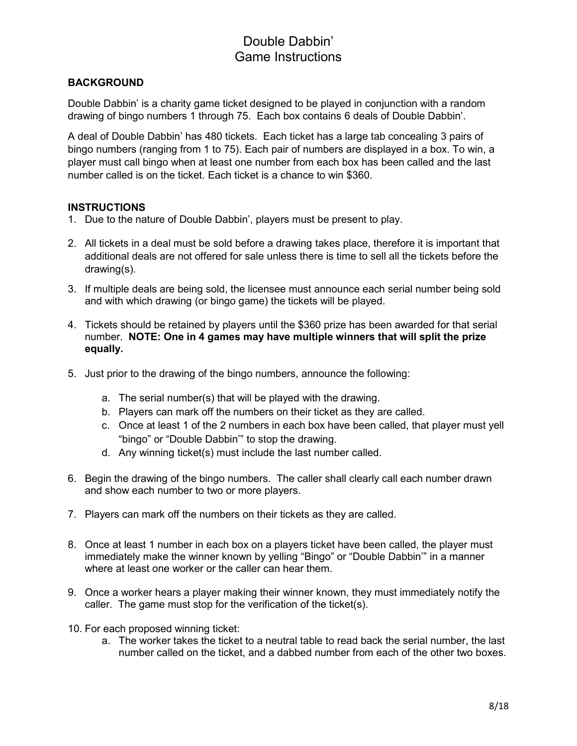# Double Dabbin' Game Instructions

### **BACKGROUND**

Double Dabbin' is a charity game ticket designed to be played in conjunction with a random drawing of bingo numbers 1 through 75. Each box contains 6 deals of Double Dabbin'.

A deal of Double Dabbin' has 480 tickets. Each ticket has a large tab concealing 3 pairs of bingo numbers (ranging from 1 to 75). Each pair of numbers are displayed in a box. To win, a player must call bingo when at least one number from each box has been called and the last number called is on the ticket. Each ticket is a chance to win \$360.

### **INSTRUCTIONS**

- 1. Due to the nature of Double Dabbin', players must be present to play.
- 2. All tickets in a deal must be sold before a drawing takes place, therefore it is important that additional deals are not offered for sale unless there is time to sell all the tickets before the drawing(s).
- 3. If multiple deals are being sold, the licensee must announce each serial number being sold and with which drawing (or bingo game) the tickets will be played.
- 4. Tickets should be retained by players until the \$360 prize has been awarded for that serial number. **NOTE: One in 4 games may have multiple winners that will split the prize equally.**
- 5. Just prior to the drawing of the bingo numbers, announce the following:
	- a. The serial number(s) that will be played with the drawing.
	- b. Players can mark off the numbers on their ticket as they are called.
	- c. Once at least 1 of the 2 numbers in each box have been called, that player must yell "bingo" or "Double Dabbin'" to stop the drawing.
	- d. Any winning ticket(s) must include the last number called.
- 6. Begin the drawing of the bingo numbers. The caller shall clearly call each number drawn and show each number to two or more players.
- 7. Players can mark off the numbers on their tickets as they are called.
- 8. Once at least 1 number in each box on a players ticket have been called, the player must immediately make the winner known by yelling "Bingo" or "Double Dabbin'" in a manner where at least one worker or the caller can hear them.
- 9. Once a worker hears a player making their winner known, they must immediately notify the caller. The game must stop for the verification of the ticket(s).
- 10. For each proposed winning ticket:
	- a. The worker takes the ticket to a neutral table to read back the serial number, the last number called on the ticket, and a dabbed number from each of the other two boxes.